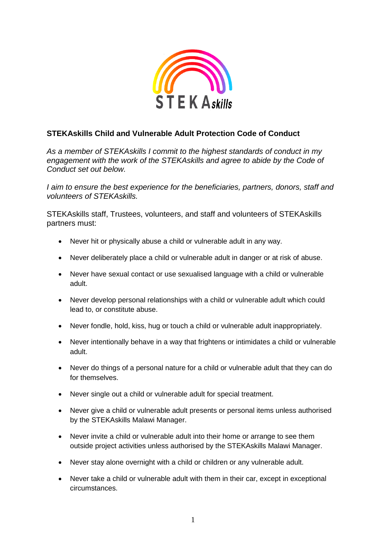

## **STEKAskills Child and Vulnerable Adult Protection Code of Conduct**

*As a member of STEKAskills I commit to the highest standards of conduct in my engagement with the work of the STEKAskills and agree to abide by the Code of Conduct set out below.*

*I aim to ensure the best experience for the beneficiaries, partners, donors, staff and volunteers of STEKAskills.*

STEKAskills staff, Trustees, volunteers, and staff and volunteers of STEKAskills partners must:

- Never hit or physically abuse a child or vulnerable adult in any way.
- Never deliberately place a child or vulnerable adult in danger or at risk of abuse.
- Never have sexual contact or use sexualised language with a child or vulnerable adult.
- Never develop personal relationships with a child or vulnerable adult which could lead to, or constitute abuse.
- Never fondle, hold, kiss, hug or touch a child or vulnerable adult inappropriately.
- Never intentionally behave in a way that frightens or intimidates a child or vulnerable adult.
- Never do things of a personal nature for a child or vulnerable adult that they can do for themselves.
- Never single out a child or vulnerable adult for special treatment.
- Never give a child or vulnerable adult presents or personal items unless authorised by the STEKAskills Malawi Manager.
- Never invite a child or vulnerable adult into their home or arrange to see them outside project activities unless authorised by the STEKAskills Malawi Manager.
- Never stay alone overnight with a child or children or any vulnerable adult.
- Never take a child or vulnerable adult with them in their car, except in exceptional circumstances.